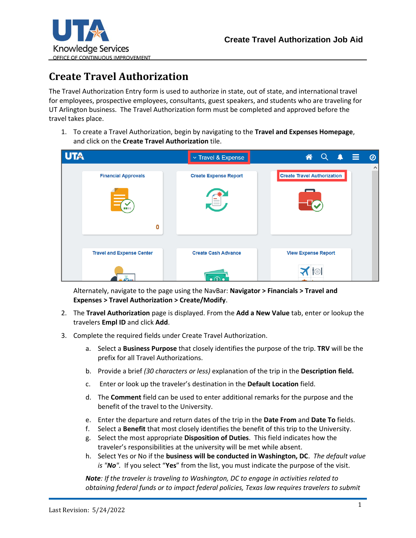

## **Create Travel Authorization**

The Travel Authorization Entry form is used to authorize in state, out of state, and international travel for employees, prospective employees, consultants, guest speakers, and students who are traveling for UT Arlington business. The Travel Authorization form must be completed and approved before the travel takes place.

1. To create a Travel Authorization, begin by navigating to the **Travel and Expenses Homepage**, and click on the **Create Travel Authorization** tile.

| <b>UTA</b> |                                           | $\times$ Travel & Expense                       | Q<br>谷<br>$\blacktriangle$<br>– ≡<br>$\circledcirc$ |
|------------|-------------------------------------------|-------------------------------------------------|-----------------------------------------------------|
|            | <b>Financial Approvals</b><br>$\mathbf 0$ | <b>Create Expense Report</b>                    | $\land$<br><b>Create Travel Authorization</b>       |
|            | <b>Travel and Expense Center</b>          | <b>Create Cash Advance</b><br>$\bullet$ $\circ$ | <b>View Expense Report</b>                          |

Alternately, navigate to the page using the NavBar: **Navigator > Financials > Travel and Expenses > Travel Authorization > Create/Modify**.

- 2. The **Travel Authorization** page is displayed. From the **Add a New Value** tab, enter or lookup the travelers **Empl ID** and click **Add**.
- 3. Complete the required fields under Create Travel Authorization.
	- a. Select a **Business Purpose** that closely identifies the purpose of the trip. **TRV** will be the prefix for all Travel Authorizations.
	- b. Provide a brief *(30 characters or less)* explanation of the trip in the **Description field.**
	- c. Enter or look up the traveler's destination in the **Default Location** field.
	- d. The **Comment** field can be used to enter additional remarks for the purpose and the benefit of the travel to the University.
	- e. Enter the departure and return dates of the trip in the **Date From** and **Date To** fields.
	- f. Select a **Benefit** that most closely identifies the benefit of this trip to the University.
	- g. Select the most appropriate **Disposition of Duties**. This field indicates how the traveler's responsibilities at the university will be met while absent.
	- h. Select Yes or No if the **business will be conducted in Washington, DC**. *The default value is "No".* If you select "**Yes**" from the list, you must indicate the purpose of the visit.

*Note: If the traveler is traveling to Washington, DC to engage in activities related to obtaining federal funds or to impact federal policies, Texas law requires travelers to submit*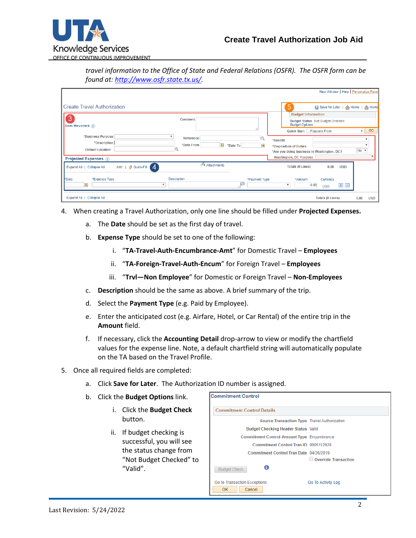

*travel information to the Office of State and Federal Relations (OSFR). The OSFR form can be found at: [http://www.osfr.state.tx.us/.](http://www.osfr.state.tx.us/)*

|                                                                             |                     |               |                                            | New Window   Help   Personalize Page  |                    |
|-----------------------------------------------------------------------------|---------------------|---------------|--------------------------------------------|---------------------------------------|--------------------|
|                                                                             |                     |               |                                            |                                       |                    |
| <b>Create Travel Authorization</b>                                          |                     |               | 5                                          | □ Save for Later   ▲ Home   ▲ Home    |                    |
|                                                                             |                     |               | <b>Budget Information</b>                  |                                       |                    |
| 3<br>Sam Maverick ?                                                         | <b>Comment</b>      |               | <b>Budget Options</b>                      | Budget Status Not Budget Checked      |                    |
|                                                                             |                     |               | <b>Quick Start</b>                         | Populate From                         | GO<br>$\mathbf{v}$ |
| *Business Purpose                                                           | Reference           |               | *Benefit                                   |                                       |                    |
| *Description                                                                | B<br>*Date From     | *Date To<br>E | *Disposition of Duties                     |                                       |                    |
| <b>Default Location</b>                                                     |                     |               | *Are you doing business in Washington, DC? |                                       | $No \neq$          |
| <b>Projected Expenses</b> ?                                                 |                     |               | <b>Washington, DC Purpose</b>              |                                       |                    |
| ∯ Quick-Fill<br>$\overline{4}$<br>$Add: \ \  $<br>Expand All   Collapse All | $\n  Attachments\n$ |               | <b>Totals (0 Lines)</b>                    | 0.00<br><b>USD</b>                    |                    |
| *Expense Type<br>*Date                                                      | <b>Description</b>  | *Payment Type | *Amount                                    | Currency                              |                    |
| Þij<br>v                                                                    |                     | $\sqrt{2}$    | 0.00<br>$\boldsymbol{\mathrm{v}}$          | $\blacksquare$<br>$\pm$<br><b>USD</b> |                    |
| Expand All   Collapse All                                                   |                     |               |                                            | <b>Totals (0 Lines)</b>               | 0.00<br><b>USD</b> |

- 4. When creating a Travel Authorization, only one line should be filled under **Projected Expenses.**
	- a. The **Date** should be set as the first day of travel.
	- b. **Expense Type** should be set to one of the following:
		- i. "**TA-Travel-Auth-Encumbrance-Amt**" for Domestic Travel **Employees**
		- ii. "**TA-Foreign-Travel-Auth-Encum**" for Foreign Travel **Employees**
		- iii. "**Trvl—Non Employee**" for Domestic or Foreign Travel **Non-Employees**
	- c. **Description** should be the same as above. A brief summary of the trip.
	- d. Select the **Payment Type** (e.g. Paid by Employee).
	- e. Enter the anticipated cost (e.g. Airfare, Hotel, or Car Rental) of the entire trip in the **Amount** field.
	- f. If necessary, click the **Accounting Detail** drop-arrow to view or modify the chartfield values for the expense line. Note, a default chartfield string will automatically populate on the TA based on the Travel Profile.
- 5. Once all required fields are completed:
	- a. Click **Save for Later**. The Authorization ID number is assigned.
	- b. Click the **Budget Options** link.
		- i. Click the **Budget Check** button.
		- ii. If budget checking is successful, you will see the status change from "Not Budget Checked" to "Valid".

| <b>Commitment Control</b>                         |                      |  |  |  |  |
|---------------------------------------------------|----------------------|--|--|--|--|
| <b>Commitment Control Details</b>                 |                      |  |  |  |  |
| Source Transaction Type Travel Authorization      |                      |  |  |  |  |
| <b>Budget Checking Header Status Valid</b>        |                      |  |  |  |  |
| <b>Commitment Control Amount Type Encumbrance</b> |                      |  |  |  |  |
| Commitment Control Tran ID 0005112928             |                      |  |  |  |  |
| Commitment Control Tran Date 04/26/2019           |                      |  |  |  |  |
| A<br><b>Budget Check</b>                          | Override Transaction |  |  |  |  |
| Go to Transaction Exceptions<br>Cancel<br>OK.     | Go To Activity Log   |  |  |  |  |